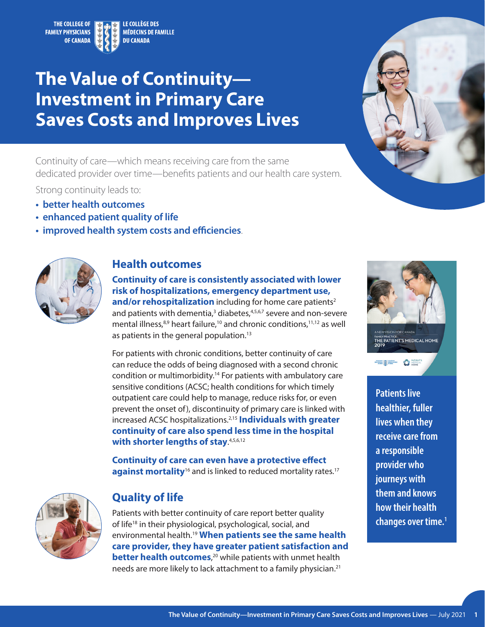<span id="page-0-0"></span>

# **The Value of Continuity— Investment in Primary Care Saves Costs and Improves Lives**

Continuity of care—which means receiving care from the same dedicated provider over time—benefits patients and our health care system.

Strong continuity leads to:

- **• better health outcomes**
- **• enhanced patient quality of life**
- **• improved health system costs and efficiencies**.



## **Health outcomes**

**Continuity of care is consistently associated with lower risk of hospitalizations, emergency department use, and/or rehospitalization** including for home care patients<sup>2</sup> and patients with dementia,<sup>[3](#page-2-0)</sup> diabetes,<sup>4,5,6,7</sup> severe and non-severe mental illness,<sup>8,9</sup> heart failure,<sup>[10](#page-2-0)</sup> and chronic conditions,<sup>11,12</sup> as well as patients in the general population.<sup>13</sup>

For patients with chronic conditions, better continuity of care can reduce the odds of being diagnosed with a second chronic condition or multimorbidity.[14](#page-2-0) For patients with ambulatory care sensitive conditions (ACSC; health conditions for which timely outpatient care could help to manage, reduce risks for, or even prevent the onset of), discontinuity of primary care is linked with increased ACSC hospitalizations.[2,15](#page-2-0) **Individuals with greater continuity of care also spend less time in the hospital**  with shorter lengths of stay. 4,5,6,12

**Continuity of care can even have a protective effect against mortality**<sup>16</sup> and is linked to reduced mortality rates.<sup>17</sup>



## **Quality of life**

Patients with better continuity of care report better quality of life<sup>18</sup> in their physiological, psychological, social, and environmental health.[19](#page-2-0) **When patients see the same health care provider, they have greater patient satisfaction and better health outcomes**,<sup>[20](#page-2-0)</sup> while patients with unmet health needs are more likely to lack attachment to a family physician.<sup>21</sup>





**Patients live healthier, fuller lives when they receive care from a responsible provider who journeys with them and knows how their health changes over time[.1](#page-2-0)**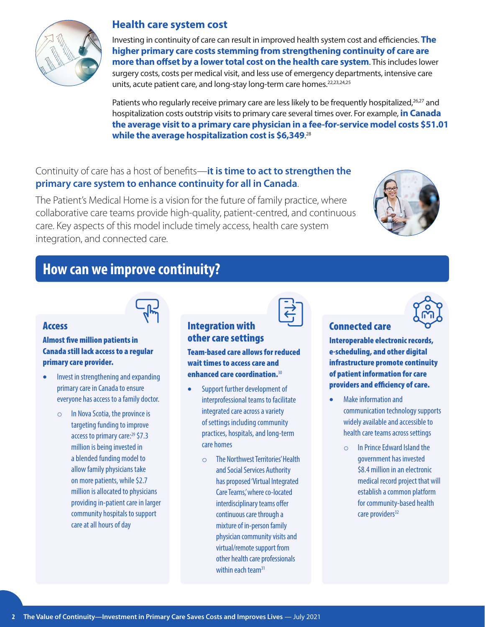

### **Health care system cost**

Investing in continuity of care can result in improved health system cost and efficiencies. **The higher primary care costs stemming from strengthening continuity of care are more than offset by a lower total cost on the health care system**. This includes lower surgery costs, costs per medical visit, and less use of emergency departments, intensive care units, acute patient care, and long-stay long-term care homes.<sup>[22,23,24,25](#page-2-0)</sup>

Patients who regularly receive primary care are less likely to be frequently hospitalized,<sup>26,27</sup> and hospitalization costs outstrip visits to primary care several times over. For example, **in Canada the average visit to a primary care physician in a fee-for-service model costs \$51.01 while the average hospitalization cost is \$6,349**. 28

## Continuity of care has a host of benefits—**it is time to act to strengthen the primary care system to enhance continuity for all in Canada**.

The Patient's Medical Home is a vision for the future of family practice, where collaborative care teams provide high-quality, patient-centred, and continuous care. Key aspects of this model include timely access, health care system integration, and connected care.



# **How can we improve continuity?**



### Access

#### Almost five million patients in Canada still lack access to a regular primary care provider.

- Invest in strengthening and expanding primary care in Canada to ensure everyone has access to a family doctor.
	- o In Nova Scotia, the province is targeting funding to improve access to primary care:<sup>29</sup> \$7.3 million is being invested in a blended funding model to allow family physicians take on more patients, while \$2.7 million is allocated to physicians providing in-patient care in larger community hospitals to support care at all hours of day



#### Integration with other care settings

Team-based care allows for reduced wait times to access care and enhanced care coordination.<sup>30</sup>

- Support further development of interprofessional teams to facilitate integrated care across a variety of settings including community practices, hospitals, and long-term care homes
	- o The Northwest Territories' Health and Social Services Authority has proposed 'Virtual Integrated Care Teams,' where co-located interdisciplinary teams offer continuous care through a mixture of in-person family physician community visits and virtual/remote support from other health care professionals within each team<sup>31</sup>



## Connected care

Interoperable electronic records, e-scheduling, and other digital infrastructure promote continuity of patient information for care

Make information and communication technology supports widely available and accessible to health care teams across settings

providers and efficiency of care.

o In Prince Edward Island the government has invested \$8.4 million in an electronic medical record project that will establish a common platform for community-based health care providers<sup>32</sup>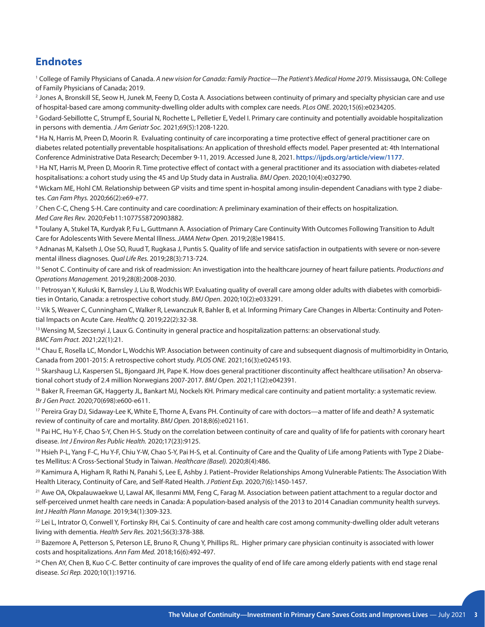## <span id="page-2-0"></span>**Endnotes**

[1](#page-0-0) College of Family Physicians of Canada. *A new vision for Canada: Family Practice—The Patient's Medical Home 201*9. Mississauga, ON: College of Family Physicians of Canada; 2019.

[2](#page-0-0) Jones A, Bronskill SE, Seow H, Junek M, Feeny D, Costa A. Associations between continuity of primary and specialty physician care and use of hospital-based care among community-dwelling older adults with complex care needs. *PLos ONE*. 2020;15(6):e0234205.

<sup>[3](#page-0-0)</sup> Godard-Sebillotte C, Strumpf E, Sourial N, Rochette L, Pelletier E, Vedel I. Primary care continuity and potentially avoidable hospitalization in persons with dementia. *J Am Geriatr Soc.* 2021;69(5):1208-1220.

[4](#page-0-0) Ha N, Harris M, Preen D, Moorin R. Evaluating continuity of care incorporating a time protective effect of general practitioner care on diabetes related potentially preventable hospitalisations: An application of threshold effects model. Paper presented at: 4th International Conference Administrative Data Research; December 9-11, 2019. Accessed June 8, 2021. **<https://ijpds.org/article/view/1177>**.

<sup>[5](#page-0-0)</sup> Ha NT, Harris M, Preen D, Moorin R. Time protective effect of contact with a general practitioner and its association with diabetes-related hospitalisations: a cohort study using the 45 and Up Study data in Australia. *BMJ Open*. 2020;10(4):e032790.

6 Wickam ME, Hohl CM. Relationship between GP visits and time spent in-hospital among insulin-dependent Canadians with type 2 diabetes. *Can Fam Phys.* 2020;66(2):e69-e77.

[7](#page-0-0) Chen C-C, Cheng S-H. Care continuity and care coordination: A preliminary examination of their effects on hospitalization. *Med Care Res Rev.* 2020;Feb11:1077558720903882.

[8](#page-0-0) Toulany A, Stukel TA, Kurdyak P, Fu L, Guttmann A. Association of Primary Care Continuity With Outcomes Following Transition to Adult Care for Adolescents With Severe Mental Illness. *JAMA Netw Open.* 2019;2(8)e198415.

[9](#page-0-0) Adnanas M, Kalseth J, Ose SO, Ruud T, Rugkasa J, Puntis S. Quality of life and service satisfaction in outpatients with severe or non-severe mental illness diagnoses. *Qual Life Res.* 2019;28(3):713-724.

[10](#page-0-0) Senot C. Continuity of care and risk of readmission: An investigation into the healthcare journey of heart failure patients. *Productions and Operations Management.* 2019;28(8):2008-2030.

[11](#page-0-0) Petrosyan Y, Kuluski K, Barnsley J, Liu B, Wodchis WP. Evaluating quality of overall care among older adults with diabetes with comorbidities in Ontario, Canada: a retrospective cohort study. *BMJ Open*. 2020;10(2):e033291.

<sup>[12](#page-0-0)</sup> Vik S, Weaver C, Cunningham C, Walker R, Lewanczuk R, Bahler B, et al. Informing Primary Care Changes in Alberta: Continuity and Potential Impacts on Acute Care. *Healthc Q.* 2019;22(2):32-38.

<sup>[13](#page-0-0)</sup> Wensing M, Szecsenyi J, Laux G. Continuity in general practice and hospitalization patterns: an observational study. *BMC Fam Pract.* 2021;22(1):21.

<sup>[14](#page-0-0)</sup> Chau E, Rosella LC, Mondor L, Wodchis WP. Association between continuity of care and subsequent diagnosis of multimorbidity in Ontario, Canada from 2001-2015: A retrospective cohort study. *PLOS ONE.* 2021;16(3):e0245193.

<sup>15</sup> Skarshaug LJ, Kaspersen SL, Bjongaard JH, Pape K. How does general practitioner discontinuity affect healthcare utilisation? An observational cohort study of 2.4 million Norwegians 2007-2017. *BMJ Open.* 2021;11(2):e042391.

<sup>[16](#page-0-0)</sup> Baker R, Freeman GK, Haggerty JL, Bankart MJ, Nockels KH. Primary medical care continuity and patient mortality: a systematic review. *Br J Gen Pract.* 2020;70(698):e600-e611.

[17](#page-0-0) Pereira Gray DJ, Sidaway-Lee K, White E, Thorne A, Evans PH. Continuity of care with doctors—a matter of life and death? A systematic review of continuity of care and mortality. *BMJ Open.* 2018;8(6):e021161.

<sup>[18](#page-0-0)</sup> Pai HC, Hu Y-F, Chao S-Y, Chen H-S. Study on the correlation between continuity of care and quality of life for patients with coronary heart disease. *Int J Environ Res Public Health.* 2020;17(23):9125.

<sup>[19](#page-0-0)</sup> Hsieh P-L, Yang F-C, Hu Y-F, Chiu Y-W, Chao S-Y, Pai H-S, et al. Continuity of Care and the Quality of Life among Patients with Type 2 Diabetes Mellitus: A Cross-Sectional Study in Taiwan. *Healthcare (Basel).* 2020;8(4):486.

<sup>[20](#page-0-0)</sup> Kamimura A, Higham R, Rathi N, Panahi S, Lee E, Ashby J. Patient–Provider Relationships Among Vulnerable Patients: The Association With Health Literacy, Continuity of Care, and Self-Rated Health. *J Patient Exp.* 2020;7(6):1450-1457.

<sup>[21](#page-0-0)</sup> Awe OA, Okpalauwaekwe U, Lawal AK, Ilesanmi MM, Feng C, Farag M. Association between patient attachment to a regular doctor and self-perceived unmet health care needs in Canada: A population-based analysis of the 2013 to 2014 Canadian community health surveys. *Int J Health Plann Manage.* 2019;34(1):309-323.

<sup>22</sup> Lei L, Intrator O, Conwell Y, Fortinsky RH, Cai S. Continuity of care and health care cost among community-dwelling older adult veterans living with dementia. *Health Serv Res.* 2021;56(3):378-388.

<sup>23</sup> Bazemore A, Petterson S, Peterson LE, Bruno R, Chung Y, Phillips RL. Higher primary care physician continuity is associated with lower costs and hospitalizations. *Ann Fam Med.* 2018;16(6):492-497.

<sup>24</sup> Chen AY, Chen B, Kuo C-C. Better continuity of care improves the quality of end of life care among elderly patients with end stage renal disease. *Sci Rep.* 2020;10(1):19716.